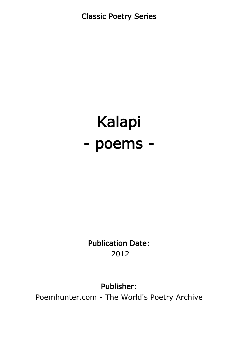Classic Poetry Series

# Kalapi - poems -

Publication Date: 2012

#### Publisher:

Poemhunter.com - The World's Poetry Archive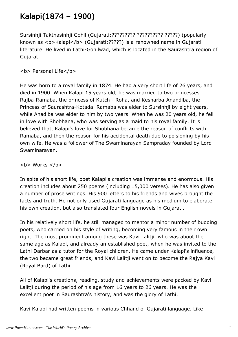#### Kalapi(1874 – 1900)

Sursinhji Takthasinhji Gohil (Gujarati:????????? ?????????? ?????) (popularly known as <b>Kalapi</b> (Gujarati:?????) is a renowned name in Gujarati literature. He lived in Lathi-Gohilwad, which is located in the Saurashtra region of Gujarat.

**<b> Personal Life</b>** 

He was born to a royal family in 1874. He had a very short life of 26 years, and died in 1900. When Kalapi 15 years old, he was married to two princesses. Rajba-Ramaba, the princess of Kutch - Roha, and Kesharba-Anandiba, the Princess of Saurashtra-Kotada. Ramaba was elder to Sursinhji by eight years, while Anadiba was elder to him by two years. When he was 20 years old, he fell in love with Shobhana, who was serving as a maid to his royal family. It is believed that, Kalapi's love for Shobhana became the reason of conflicts with Ramaba, and then the reason for his accidental death due to poisioning by his own wife. He was a follower of The Swaminarayan Sampraday founded by Lord Swaminarayan.

 **Works**  $******/b******$ 

In spite of his short life, poet Kalapi's creation was immense and enormous. His creation includes about 250 poems (including 15,000 verses). He has also given a number of prose writings. His 900 letters to his friends and wives brought the facts and truth. He not only used Gujarati language as his medium to elaborate his own creation, but also translated four English novels in Gujarati.

In his relatively short life, he still managed to mentor a minor number of budding poets, who carried on his style of writing, becoming very famous in their own right. The most prominent among these was Kavi Lalitji, who was about the same age as Kalapi, and already an established poet, when he was invited to the Lathi Darbar as a tutor for the Royal children. He came under Kalapi's influence, the two became great friends, and Kavi Lalitji went on to become the Rajya Kavi (Royal Bard) of Lathi.

All of Kalapi's creations, reading, study and achievements were packed by Kavi Lalitji during the period of his age from 16 years to 26 years. He was the excellent poet in Saurashtra's history, and was the glory of Lathi.

Kavi Kalapi had written poems in various Chhand of Gujarati language. Like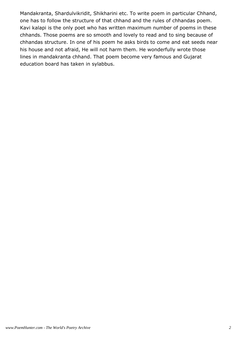Mandakranta, Shardulvikridit, Shikharini etc. To write poem in particular Chhand, one has to follow the structure of that chhand and the rules of chhandas poem. Kavi kalapi is the only poet who has written maximum number of poems in these chhands. Those poems are so smooth and lovely to read and to sing because of chhandas structure. In one of his poem he asks birds to come and eat seeds near his house and not afraid, He will not harm them. He wonderfully wrote those lines in mandakranta chhand. That poem become very famous and Gujarat education board has taken in sylabbus.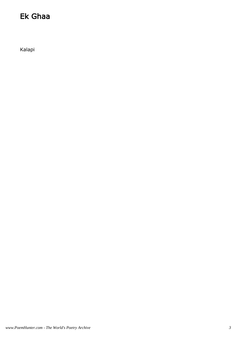#### Ek Ghaa

Kalapi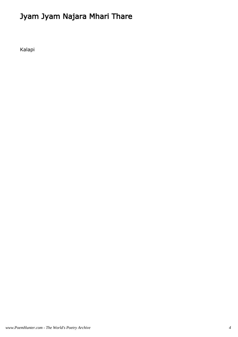## Jyam Jyam Najara Mhari Thare

Kalapi